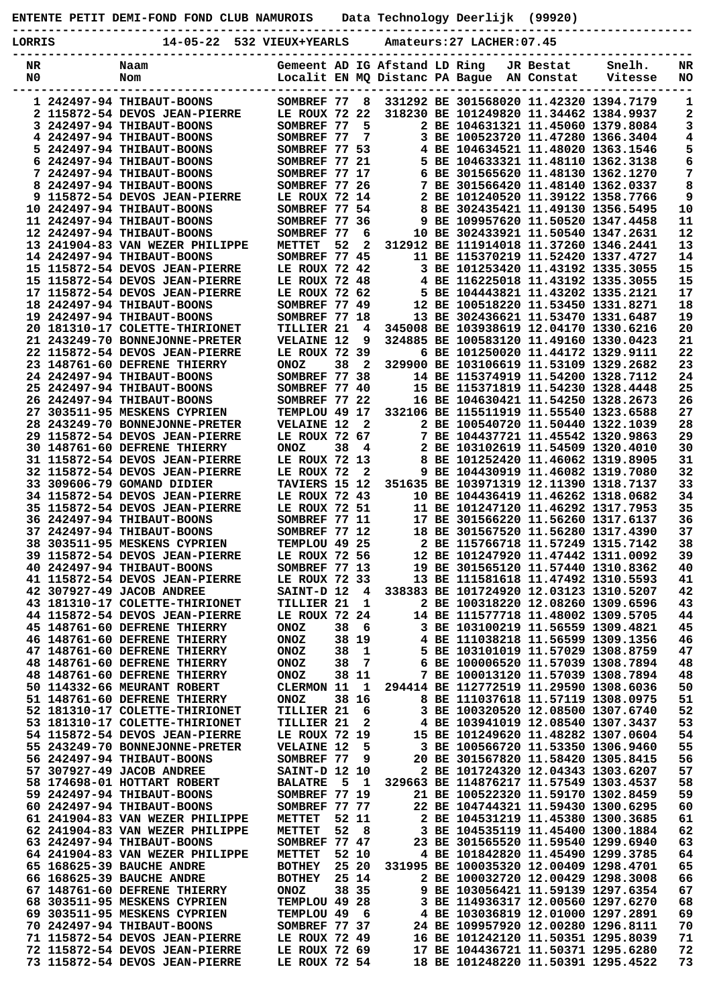**ENTENTE PETIT DEMI-FOND FOND CLUB NAMUROIS Data Technology Deerlijk (99920)**

**-----------------------------------------------------------------------------------------------**

| LORRIS   | 14-05-22                                                         | 532 VIEUX+YEARLS                   |     |              |                               | Amateurs:27 LACHER:07.45 |                         |                                                                              |                 |
|----------|------------------------------------------------------------------|------------------------------------|-----|--------------|-------------------------------|--------------------------|-------------------------|------------------------------------------------------------------------------|-----------------|
| NR<br>N0 | Naam<br>Nom                                                      | Localit EN MQ Distanc PA Bague     |     |              | Gemeent AD IG Afstand LD Ring |                          | JR Bestat<br>AN Constat | Snelh.<br>Vitesse                                                            | NR<br><b>NO</b> |
|          | 1 242497-94 THIBAUT-BOONS                                        | SOMBREF 77                         |     | 8            |                               |                          |                         | 331292 BE 301568020 11.42320 1394.7179                                       | 1               |
|          | 2 115872-54 DEVOS JEAN-PIERRE                                    | LE ROUX 72 22                      |     |              |                               |                          |                         | 318230 BE 101249820 11.34462 1384.9937                                       | 2               |
|          | 3 242497-94 THIBAUT-BOONS                                        | SOMBREF 77                         |     | 5            |                               |                          |                         | 2 BE 104631321 11.45060 1379.8084                                            | 3               |
|          | 4 242497-94 THIBAUT-BOONS                                        | SOMBREF 77                         |     | 7            |                               |                          |                         | 3 BE 100523720 11.47280 1366.3404                                            | 4               |
|          | 5 242497-94 THIBAUT-BOONS<br>6 242497-94 THIBAUT-BOONS           | SOMBREF 77 53                      |     |              |                               |                          |                         | 4 BE 104634521 11.48020 1363.1546                                            | 5               |
|          | 7 242497-94 THIBAUT-BOONS                                        | SOMBREF 77 21<br>SOMBREF 77 17     |     |              |                               |                          |                         | 5 BE 104633321 11.48110 1362.3138<br>6 BE 301565620 11.48130 1362.1270       | 6<br>7          |
|          | 8 242497-94 THIBAUT-BOONS                                        | SOMBREF 77 26                      |     |              |                               |                          |                         | 7 BE 301566420 11.48140 1362.0337                                            | 8               |
|          | 9 115872-54 DEVOS JEAN-PIERRE                                    | LE ROUX 72 14                      |     |              |                               |                          |                         | 2 BE 101240520 11.39122 1358.7766                                            | 9               |
|          | 10 242497-94 THIBAUT-BOONS                                       | SOMBREF 77 54                      |     |              |                               |                          |                         | 8 BE 302435421 11.49130 1356.5495                                            | 10              |
|          | 11 242497-94 THIBAUT-BOONS                                       | SOMBREF 77 36                      |     |              |                               |                          |                         | 9 BE 109957620 11.50520 1347.4458                                            | 11              |
|          | 12 242497-94 THIBAUT-BOONS                                       | SOMBREF 77                         |     | 6            |                               |                          |                         | 10 BE 302433921 11.50540 1347.2631                                           | 12              |
|          | 13 241904-83 VAN WEZER PHILIPPE<br>14 242497-94 THIBAUT-BOONS    | METTET<br>SOMBREF 77 45            | 52  | 2            |                               |                          |                         | 312912 BE 111914018 11.37260 1346.2441<br>11 BE 115370219 11.52420 1337.4727 | 13<br>14        |
|          | 15 115872-54 DEVOS JEAN-PIERRE                                   | LE ROUX 72 42                      |     |              |                               |                          |                         | 3 BE 101253420 11.43192 1335.3055                                            | 15              |
|          | 15 115872-54 DEVOS JEAN-PIERRE                                   | LE ROUX 72 48                      |     |              |                               |                          |                         | 4 BE 116225018 11.43192 1335.3055                                            | 15              |
|          | 17 115872-54 DEVOS JEAN-PIERRE                                   | LE ROUX 72 62                      |     |              |                               |                          |                         | 5 BE 104443821 11.43202 1335.2121                                            | 17              |
|          | 18 242497-94 THIBAUT-BOONS                                       | SOMBREF 77 49                      |     |              |                               |                          |                         | 12 BE 100518220 11.53450 1331.8271                                           | 18              |
|          | 19 242497-94 THIBAUT-BOONS                                       | SOMBREF 77 18                      |     |              |                               |                          |                         | 13 BE 302436621 11.53470 1331.6487                                           | 19              |
|          | 20 181310-17 COLETTE-THIRIONET                                   | TILLIER 21                         |     | 4            |                               |                          |                         | 345008 BE 103938619 12.04170 1330.6216                                       | 20              |
|          | 21 243249-70 BONNEJONNE-PRETER<br>22 115872-54 DEVOS JEAN-PIERRE | <b>VELAINE 12</b><br>LE ROUX 72 39 |     | 9            |                               |                          |                         | 324885 BE 100583120 11.49160 1330.0423<br>6 BE 101250020 11.44172 1329.9111  | 21<br>22        |
|          | 23 148761-60 DEFRENE THIERRY                                     | <b>ONOZ</b>                        | 38  | $\mathbf{2}$ |                               |                          |                         | 329900 BE 103106619 11.53109 1329.2682                                       | 23              |
|          | 24 242497-94 THIBAUT-BOONS                                       | SOMBREF 77 38                      |     |              |                               |                          |                         | 14 BE 115374919 11.54200 1328.7112                                           | 24              |
|          | 25 242497-94 THIBAUT-BOONS                                       | SOMBREF 77 40                      |     |              |                               |                          |                         | 15 BE 115371819 11.54230 1328.4448                                           | 25              |
|          | 26 242497-94 THIBAUT-BOONS                                       | SOMBREF 77 22                      |     |              |                               |                          |                         | 16 BE 104630421 11.54250 1328.2673                                           | 26              |
|          | 27 303511-95 MESKENS CYPRIEN                                     | TEMPLOU 49 17                      |     |              |                               |                          |                         | 332106 BE 115511919 11.55540 1323.6588                                       | 27              |
|          | 28 243249-70 BONNEJONNE-PRETER                                   | <b>VELAINE 12</b>                  |     | 2            |                               |                          |                         | 2 BE 100540720 11.50440 1322.1039                                            | 28              |
|          | 29 115872-54 DEVOS JEAN-PIERRE                                   | LE ROUX 72 67                      |     |              |                               |                          |                         | 7 BE 104437721 11.45542 1320.9863                                            | 29              |
|          | 30 148761-60 DEFRENE THIERRY<br>31 115872-54 DEVOS JEAN-PIERRE   | <b>ONOZ</b><br>LE ROUX 72 13       | 38  | 4            |                               |                          |                         | 2 BE 103102619 11.54509 1320.4010<br>8 BE 101252420 11.46062 1319.8905       | 30<br>31        |
|          | 32 115872-54 DEVOS JEAN-PIERRE                                   | LE ROUX 72                         |     | 2            |                               |                          |                         | 9 BE 104430919 11.46082 1319.7080                                            | 32              |
|          | 33 309606-79 GOMAND DIDIER                                       | TAVIERS 15 12                      |     |              |                               |                          |                         | 351635 BE 103971319 12.11390 1318.7137                                       | 33              |
|          | 34 115872-54 DEVOS JEAN-PIERRE                                   | LE ROUX 72 43                      |     |              |                               |                          |                         | 10 BE 104436419 11.46262 1318.0682                                           | 34              |
|          | 35 115872-54 DEVOS JEAN-PIERRE                                   | LE ROUX 72 51                      |     |              |                               |                          |                         | 11 BE 101247120 11.46292 1317.7953                                           | 35              |
|          | 36 242497-94 THIBAUT-BOONS                                       | SOMBREF 77 11                      |     |              |                               |                          |                         | 17 BE 301566220 11.56260 1317.6137                                           | 36              |
|          | 37 242497-94 THIBAUT-BOONS                                       | SOMBREF 77 12                      |     |              |                               |                          |                         | 18 BE 301567520 11.56280 1317.4390                                           | 37              |
|          | 38 303511-95 MESKENS CYPRIEN<br>39 115872-54 DEVOS JEAN-PIERRE   | TEMPLOU 49 25<br>LE ROUX 72 56     |     |              |                               |                          |                         | 2 BE 115766718 11.57249 1315.7142<br>12 BE 101247920 11.47442 1311.0092      | 38<br>39        |
|          | 40 242497-94 THIBAUT-BOONS                                       | SOMBREF 77 13                      |     |              |                               |                          |                         | 19 BE 301565120 11.57440 1310.8362                                           | 40              |
|          | 41 115872-54 DEVOS JEAN-PIERRE                                   | LE ROUX 72 33                      |     |              |                               |                          |                         | 13 BE 111581618 11.47492 1310.5593                                           | 41              |
|          | 42 307927-49 JACOB ANDREE                                        | SAINT-D 12                         |     | 4            |                               |                          |                         | 338383 BE 101724920 12.03123 1310.5207                                       | 42              |
|          | 43 181310-17 COLETTE-THIRIONET                                   | TILLIER 21                         |     | 1            |                               |                          |                         | 2 BE 100318220 12.08260 1309.6596                                            | 43              |
|          | 44 115872-54 DEVOS JEAN-PIERRE                                   | LE ROUX 72 24                      |     |              |                               |                          |                         | 14 BE 111577718 11.48002 1309.5705                                           | 44              |
|          | 45 148761-60 DEFRENE THIERRY                                     | <b>ONOZ</b>                        | 38  | 6            |                               |                          |                         | 3 BE 103100219 11.56559 1309.4821                                            | 45              |
|          | 46 148761-60 DEFRENE THIERRY<br>47 148761-60 DEFRENE THIERRY     | <b>ONOZ</b><br><b>ONOZ</b>         | 38  | 38 19<br>1   |                               |                          |                         | 4 BE 111038218 11.56599 1309.1356<br>5 BE 103101019 11.57029 1308.8759       | 46<br>47        |
|          | 48 148761-60 DEFRENE THIERRY                                     | <b>ONOZ</b>                        | 38  | 7            |                               |                          |                         | 6 BE 100006520 11.57039 1308.7894                                            | 48              |
|          | 48 148761-60 DEFRENE THIERRY                                     | <b>ONOZ</b>                        |     | 38 11        |                               |                          |                         | 7 BE 100013120 11.57039 1308.7894                                            | 48              |
|          | 50 114332-66 MEURANT ROBERT                                      | CLERMON 11                         |     | 1            |                               |                          |                         | 294414 BE 112772519 11.29590 1308.6036                                       | 50              |
|          | 51 148761-60 DEFRENE THIERRY                                     | <b>ONOZ</b>                        |     | 38 16        |                               |                          |                         | 8 BE 111037618 11.57119 1308.0975                                            | 51              |
|          | 52 181310-17 COLETTE-THIRIONET                                   | TILLIER 21                         |     | 6            |                               |                          |                         | 3 BE 100320520 12.08500 1307.6740                                            | 52              |
|          | 53 181310-17 COLETTE-THIRIONET                                   | TILLIER 21                         |     | 2            |                               |                          |                         | 4 BE 103941019 12.08540 1307.3437                                            | 53              |
|          | 54 115872-54 DEVOS JEAN-PIERRE<br>55 243249-70 BONNEJONNE-PRETER | LE ROUX 72 19<br><b>VELAINE 12</b> |     | 5            |                               |                          |                         | 15 BE 101249620 11.48282 1307.0604<br>3 BE 100566720 11.53350 1306.9460      | 54<br>55        |
|          | 56 242497-94 THIBAUT-BOONS                                       | SOMBREF 77                         |     | 9            |                               |                          |                         | 20 BE 301567820 11.58420 1305.8415                                           | 56              |
|          | 57 307927-49 JACOB ANDREE                                        | <b>SAINT-D 12 10</b>               |     |              |                               |                          |                         | 2 BE 101724320 12.04343 1303.6207                                            | 57              |
|          | 58 174698-01 HOTTART ROBERT                                      | <b>BALATRE</b>                     | - 5 | $\mathbf{1}$ |                               |                          |                         | 329663 BE 114876217 11.57549 1303.4537                                       | 58              |
|          | 59 242497-94 THIBAUT-BOONS                                       | SOMBREF 77 19                      |     |              |                               |                          |                         | 21 BE 100522320 11.59170 1302.8459                                           | 59              |
|          | 60 242497-94 THIBAUT-BOONS                                       | SOMBREF 77 77                      |     |              |                               |                          |                         | 22 BE 104744321 11.59430 1300.6295                                           | 60              |
|          | 61 241904-83 VAN WEZER PHILIPPE                                  | <b>METTET</b>                      |     | 52 11        |                               |                          |                         | 2 BE 104531219 11.45380 1300.3685                                            | 61              |
|          | 62 241904-83 VAN WEZER PHILIPPE<br>63 242497-94 THIBAUT-BOONS    | METTET<br>SOMBREF 77 47            | 52  | 8            |                               |                          |                         | 3 BE 104535119 11.45400 1300.1884<br>23 BE 301565520 11.59540 1299.6940      | 62<br>63        |
|          | 64 241904-83 VAN WEZER PHILIPPE                                  | METTET                             |     | 52 10        |                               |                          |                         | 4 BE 101842820 11.45490 1299.3785                                            | 64              |
|          | 65 168625-39 BAUCHE ANDRE                                        | <b>BOTHEY</b>                      |     | 25 20        |                               |                          |                         | 331995 BE 100035320 12.00409 1298.4701                                       | 65              |
|          | 66 168625-39 BAUCHE ANDRE                                        | <b>BOTHEY</b>                      |     | 25 14        |                               |                          |                         | 2 BE 100032720 12.00429 1298.3008                                            | 66              |
|          | 67 148761-60 DEFRENE THIERRY                                     | <b>ONOZ</b>                        |     | 38 35        |                               |                          |                         | 9 BE 103056421 11.59139 1297.6354                                            | 67              |
|          | 68 303511-95 MESKENS CYPRIEN                                     | TEMPLOU 49 28                      |     |              |                               |                          |                         | 3 BE 114936317 12.00560 1297.6270                                            | 68              |
|          | 69 303511-95 MESKENS CYPRIEN                                     | TEMPLOU 49                         |     | 6            |                               |                          |                         | 4 BE 103036819 12.01000 1297.2891                                            | 69              |
|          | 70 242497-94 THIBAUT-BOONS                                       | SOMBREF 77 37                      |     |              |                               |                          |                         | 24 BE 109957920 12.00280 1296.8111                                           | 70              |
|          | 71 115872-54 DEVOS JEAN-PIERRE<br>72 115872-54 DEVOS JEAN-PIERRE | LE ROUX 72 49<br>LE ROUX 72 69     |     |              |                               |                          |                         | 16 BE 101242120 11.50351 1295.8039<br>17 BE 104436721 11.50371 1295.6280     | 71<br>72        |
|          | 73 115872-54 DEVOS JEAN-PIERRE                                   | LE ROUX 72 54                      |     |              |                               |                          |                         | 18 BE 101248220 11.50391 1295.4522                                           | 73              |
|          |                                                                  |                                    |     |              |                               |                          |                         |                                                                              |                 |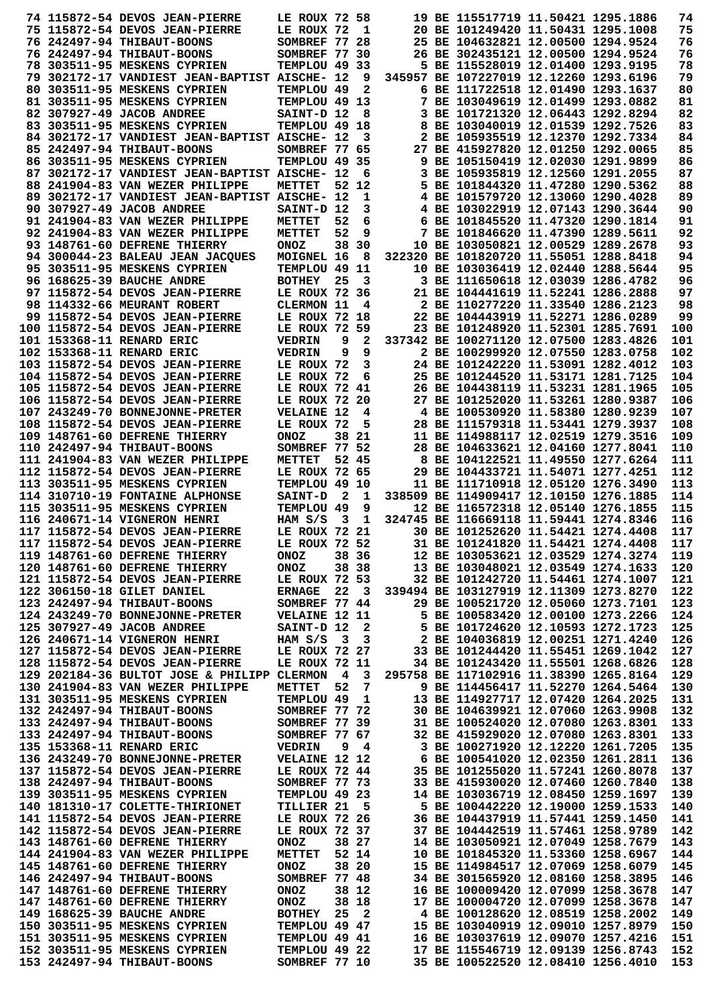|  | 74 115872-54 DEVOS JEAN-PIERRE                                     | LE ROUX 72 58                  |                         |              | 19 BE 115517719 11.50421 1295.1886                                       |  | 74         |
|--|--------------------------------------------------------------------|--------------------------------|-------------------------|--------------|--------------------------------------------------------------------------|--|------------|
|  | 75 115872-54 DEVOS JEAN-PIERRE                                     | LE ROUX 72                     |                         | 1            | 20 BE 101249420 11.50431 1295.1008                                       |  | 75         |
|  | 76 242497-94 THIBAUT-BOONS                                         | SOMBREF 77 28                  |                         |              | 25 BE 104632821 12.00500 1294.9524                                       |  | 76         |
|  | 76 242497-94 THIBAUT-BOONS                                         | SOMBREF 77 30                  |                         |              | 26 BE 302435121 12.00500 1294.9524                                       |  | 76         |
|  | 78 303511-95 MESKENS CYPRIEN                                       | TEMPLOU 49 33                  |                         |              | 5 BE 115528019 12.01400 1293.9195                                        |  | 78         |
|  | 79 302172-17 VANDIEST JEAN-BAPTIST AISCHE- 12                      |                                |                         | 9            | 345957 BE 107227019 12.12260 1293.6196                                   |  | 79         |
|  | 80 303511-95 MESKENS CYPRIEN                                       | TEMPLOU 49                     |                         | 2            | 6 BE 111722518 12.01490 1293.1637                                        |  | 80         |
|  | 81 303511-95 MESKENS CYPRIEN                                       | TEMPLOU 49 13                  |                         |              | 7 BE 103049619 12.01499 1293.0882                                        |  | 81         |
|  | 82 307927-49 JACOB ANDREE                                          | SAINT-D 12                     |                         | 8            | 3 BE 101721320 12.06443 1292.8294                                        |  | 82         |
|  | 83 303511-95 MESKENS CYPRIEN                                       | TEMPLOU 49 18                  |                         |              | 8 BE 103040019 12.01539 1292.7526                                        |  | 83         |
|  | 84 302172-17 VANDIEST JEAN-BAPTIST AISCHE- 12                      |                                |                         | 3            | 2 BE 105935519 12.12370 1292.7334                                        |  | 84         |
|  | 85 242497-94 THIBAUT-BOONS<br>86 303511-95 MESKENS CYPRIEN         | SOMBREF 77 65<br>TEMPLOU 49 35 |                         |              | 27 BE 415927820 12.01250 1292.0065<br>9 BE 105150419 12.02030 1291.9899  |  | 85<br>86   |
|  | 87 302172-17 VANDIEST JEAN-BAPTIST AISCHE- 12                      |                                |                         | 6            | 3 BE 105935819 12.12560 1291.2055                                        |  | 87         |
|  | 88 241904-83 VAN WEZER PHILIPPE                                    | METTET                         |                         | 52 12        | 5 BE 101844320 11.47280 1290.5362                                        |  | 88         |
|  | 89 302172-17 VANDIEST JEAN-BAPTIST AISCHE- 12                      |                                |                         | 1            | 4 BE 101579720 12.13060 1290.4028                                        |  | 89         |
|  | 90 307927-49 JACOB ANDREE                                          | SAINT-D 12                     |                         | 3            | 4 BE 103022919 12.07143 1290.3644                                        |  | 90         |
|  | 91 241904-83 VAN WEZER PHILIPPE                                    | METTET                         | 52                      | 6            | 6 BE 101845520 11.47320 1290.1814                                        |  | 91         |
|  | 92 241904-83 VAN WEZER PHILIPPE                                    | METTET                         | 52                      | 9            | 7 BE 101846620 11.47390 1289.5611                                        |  | 92         |
|  | 93 148761-60 DEFRENE THIERRY                                       | <b>ONOZ</b>                    |                         | 38 30        | 10 BE 103050821 12.00529 1289.2678                                       |  | 93         |
|  | 94 300044-23 BALEAU JEAN JACQUES                                   | MOIGNEL 16                     |                         | 8            | 322320 BE 101820720 11.55051 1288.8418                                   |  | 94         |
|  | 95 303511-95 MESKENS CYPRIEN                                       | TEMPLOU 49 11                  |                         |              | 10 BE 103036419 12.02440 1288.5644                                       |  | 95         |
|  | 96 168625-39 BAUCHE ANDRE                                          | <b>BOTHEY</b>                  | 25                      | 3            | 3 BE 111650618 12.03039 1286.4782                                        |  | 96         |
|  | 97 115872-54 DEVOS JEAN-PIERRE                                     | LE ROUX 72 36                  |                         |              | 21 BE 104441619 11.52241 1286.2888                                       |  | 97         |
|  | 98 114332-66 MEURANT ROBERT                                        | CLERMON 11                     |                         | 4            | 2 BE 110277220 11.33540 1286.2123                                        |  | 98         |
|  | 99 115872-54 DEVOS JEAN-PIERRE                                     | LE ROUX 72 18                  |                         |              | 22 BE 104443919 11.52271 1286.0289                                       |  | 99         |
|  | 100 115872-54 DEVOS JEAN-PIERRE                                    | LE ROUX 72                     |                         | 59           | 23 BE 101248920 11.52301 1285.7691                                       |  | 100        |
|  | 101 153368-11 RENARD ERIC                                          | <b>VEDRIN</b>                  | 9                       | 2            | 337342 BE 100271120 12.07500 1283.4826                                   |  | 101        |
|  | 102 153368-11 RENARD ERIC                                          | <b>VEDRIN</b>                  | 9                       | 9            | 2 BE 100299920 12.07550 1283.0758                                        |  | 102        |
|  | 103 115872-54 DEVOS JEAN-PIERRE                                    | LE ROUX 72                     |                         | 3            | 24 BE 101242220 11.53091 1282.4012                                       |  | 103        |
|  | 104 115872-54 DEVOS JEAN-PIERRE                                    | LE ROUX 72                     |                         | 6            | 25 BE 101244520 11.53171 1281.7125                                       |  | 104        |
|  | 105 115872-54 DEVOS JEAN-PIERRE                                    | LE ROUX 72 41                  |                         |              | 26 BE 104438119 11.53231 1281.1965                                       |  | 105        |
|  | 106 115872-54 DEVOS JEAN-PIERRE                                    | LE ROUX 72 20                  |                         |              | 27 BE 101252020 11.53261 1280.9387                                       |  | 106        |
|  | 107 243249-70 BONNEJONNE-PRETER                                    | <b>VELAINE 12</b>              |                         | 4            | 4 BE 100530920 11.58380 1280.9239                                        |  | 107        |
|  | 108 115872-54 DEVOS JEAN-PIERRE                                    | LE ROUX 72                     |                         | 5            | 28 BE 111579318 11.53441 1279.3937                                       |  | 108        |
|  | 109 148761-60 DEFRENE THIERRY                                      | <b>ONOZ</b><br>SOMBREF 77 52   |                         | 38 21        | 11 BE 114988117 12.02519 1279.3516<br>28 BE 104633621 12.04160 1277.8041 |  | 109<br>110 |
|  | 110 242497-94 THIBAUT-BOONS<br>111 241904-83 VAN WEZER PHILIPPE    |                                |                         | 52 45        | 8 BE 104122521 11.49550 1277.6264                                        |  | 111        |
|  | 112 115872-54 DEVOS JEAN-PIERRE                                    | METTET<br>LE ROUX 72 65        |                         |              | 29 BE 104433721 11.54071 1277.4251                                       |  | 112        |
|  | 113 303511-95 MESKENS CYPRIEN                                      | TEMPLOU 49 10                  |                         |              | 11 BE 111710918 12.05120 1276.3490                                       |  | 113        |
|  | 114 310710-19 FONTAINE ALPHONSE                                    | <b>SAINT-D</b>                 | $\mathbf{2}$            | 1            | 338509 BE 114909417 12.10150 1276.1885                                   |  | 114        |
|  | 115 303511-95 MESKENS CYPRIEN                                      | TEMPLOU 49                     |                         | 9            | 12 BE 116572318 12.05140 1276.1855                                       |  | 115        |
|  | 116 240671-14 VIGNERON HENRI                                       | HAM $S/S$                      | - 3                     | 1            | 324745 BE 116669118 11.59441 1274.8346                                   |  | 116        |
|  | 117 115872-54 DEVOS JEAN-PIERRE                                    | LE ROUX 72 21                  |                         |              | 30 BE 101252620 11.54421 1274.4408                                       |  | 117        |
|  | 117 115872-54 DEVOS JEAN-PIERRE                                    | LE ROUX 72 52                  |                         |              | 31 BE 101241820 11.54421 1274.4408                                       |  | 117        |
|  | 119 148761-60 DEFRENE THIERRY                                      | <b>ONOZ</b>                    |                         | 38 36        | 12 BE 103053621 12.03529 1274.3274                                       |  | 119        |
|  | 120 148761-60 DEFRENE THIERRY                                      | <b>ONOZ</b>                    |                         | 38 38        | 13 BE 103048021 12.03549 1274.1633                                       |  | 120        |
|  | 121 115872-54 DEVOS JEAN-PIERRE                                    | LE ROUX 72 53                  |                         |              | 32 BE 101242720 11.54461 1274.1007                                       |  | 121        |
|  | 122 306150-18 GILET DANIEL                                         | <b>ERNAGE</b>                  | 22                      | $_{3}$       | 339494 BE 103127919 12.11309 1273.8270                                   |  | 122        |
|  | 123 242497-94 THIBAUT-BOONS                                        | SOMBREF 77 44                  |                         |              | 29 BE 100521720 12.05060 1273.7101                                       |  | 123        |
|  | 124 243249-70 BONNEJONNE-PRETER                                    | <b>VELAINE 12 11</b>           |                         |              | 5 BE 100583420 12.00100 1273.2266                                        |  | 124        |
|  | 125 307927-49 JACOB ANDREE                                         | SAINT-D 12                     |                         | $\mathbf{2}$ | 5 BE 101724620 12.10593 1272.1723                                        |  | 125        |
|  | 126 240671-14 VIGNERON HENRI                                       | HAM S/S                        | $\overline{\mathbf{3}}$ | 3            | 2 BE 104036819 12.00251 1271.4240                                        |  | 126        |
|  | 127 115872-54 DEVOS JEAN-PIERRE                                    | LE ROUX 72 27                  |                         |              | 33 BE 101244420 11.55451 1269.1042                                       |  | 127        |
|  | 128 115872-54 DEVOS JEAN-PIERRE                                    | LE ROUX 72 11                  |                         |              | 34 BE 101243420 11.55501 1268.6826                                       |  | 128        |
|  | 129 202184-36 BULTOT JOSE & PHILIPP CLERMON                        |                                | $\overline{\mathbf{4}}$ | 3            | 295758 BE 117102916 11.38390 1265.8164                                   |  | 129        |
|  | 130 241904-83 VAN WEZER PHILIPPE                                   | <b>METTET</b>                  | 52                      | 7            | 9 BE 114456417 11.52270 1264.5464                                        |  | 130        |
|  | 131 303511-95 MESKENS CYPRIEN                                      | TEMPLOU 49                     |                         | 1            | 13 BE 114927717 12.07420 1264.2025                                       |  | 131        |
|  | 132 242497-94 THIBAUT-BOONS                                        | SOMBREF 77 72                  |                         |              | 30 BE 104639921 12.07060 1263.9908                                       |  | 132        |
|  | 133 242497-94 THIBAUT-BOONS                                        | SOMBREF 77 39                  |                         |              | 31 BE 100524020 12.07080 1263.8301                                       |  | 133        |
|  | 133 242497-94 THIBAUT-BOONS                                        | SOMBREF 77 67                  |                         |              | 32 BE 415929020 12.07080 1263.8301                                       |  | 133        |
|  | 135 153368-11 RENARD ERIC                                          | <b>VEDRIN</b>                  | 9                       | 4            | 3 BE 100271920 12.12220 1261.7205                                        |  | 135        |
|  | 136 243249-70 BONNEJONNE-PRETER<br>137 115872-54 DEVOS JEAN-PIERRE | <b>VELAINE 12 12</b>           |                         |              | 6 BE 100541020 12.02350 1261.2811<br>35 BE 101255020 11.57241 1260.8078  |  | 136<br>137 |
|  | 138 242497-94 THIBAUT-BOONS                                        | LE ROUX 72 44<br>SOMBREF 77 73 |                         |              | 33 BE 415930020 12.07460 1260.7840                                       |  | 138        |
|  | 139 303511-95 MESKENS CYPRIEN                                      | TEMPLOU 49 23                  |                         |              | 14 BE 103036719 12.08450 1259.1697                                       |  | 139        |
|  | 140 181310-17 COLETTE-THIRIONET                                    | TILLIER 21                     |                         | 5            | 5 BE 100442220 12.19000 1259.1533                                        |  | 140        |
|  | 141 115872-54 DEVOS JEAN-PIERRE                                    | LE ROUX 72 26                  |                         |              | 36 BE 104437919 11.57441 1259.1450                                       |  | 141        |
|  | 142 115872-54 DEVOS JEAN-PIERRE                                    | LE ROUX 72 37                  |                         |              | 37 BE 104442519 11.57461 1258.9789                                       |  | 142        |
|  | 143 148761-60 DEFRENE THIERRY                                      | <b>ONOZ</b>                    |                         | 38 27        | 14 BE 103050921 12.07049 1258.7679                                       |  | 143        |
|  | 144 241904-83 VAN WEZER PHILIPPE                                   | <b>METTET</b>                  |                         | 52 14        | 10 BE 101845320 11.53360 1258.6967                                       |  | 144        |
|  | 145 148761-60 DEFRENE THIERRY                                      | <b>ONOZ</b>                    |                         | 38 20        | 15 BE 114984517 12.07069 1258.6079                                       |  | 145        |
|  | 146 242497-94 THIBAUT-BOONS                                        | SOMBREF 77 48                  |                         |              | 34 BE 301565920 12.08160 1258.3895                                       |  | 146        |
|  | 147 148761-60 DEFRENE THIERRY                                      | <b>ONOZ</b>                    |                         | 38 12        | 16 BE 100009420 12.07099 1258.3678                                       |  | 147        |
|  | 147 148761-60 DEFRENE THIERRY                                      | <b>ONOZ</b>                    |                         | 38 18        | 17 BE 100004720 12.07099 1258.3678                                       |  | 147        |
|  | 149 168625-39 BAUCHE ANDRE                                         | <b>BOTHEY</b>                  | 25                      | $\mathbf{2}$ | 4 BE 100128620 12.08519 1258.2002                                        |  | 149        |
|  | 150 303511-95 MESKENS CYPRIEN                                      | TEMPLOU 49 47                  |                         |              | 15 BE 103040919 12.09010 1257.8979                                       |  | 150        |
|  | 151 303511-95 MESKENS CYPRIEN                                      | TEMPLOU 49 41                  |                         |              | 16 BE 103037619 12.09070 1257.4216                                       |  | 151        |
|  | 152 303511-95 MESKENS CYPRIEN                                      | TEMPLOU 49 22                  |                         |              | 17 BE 115546719 12.09139 1256.8743                                       |  | 152        |
|  | 153 242497-94 THIBAUT-BOONS                                        | SOMBREF 77 10                  |                         |              | 35 BE 100522520 12.08410 1256.4010                                       |  | 153        |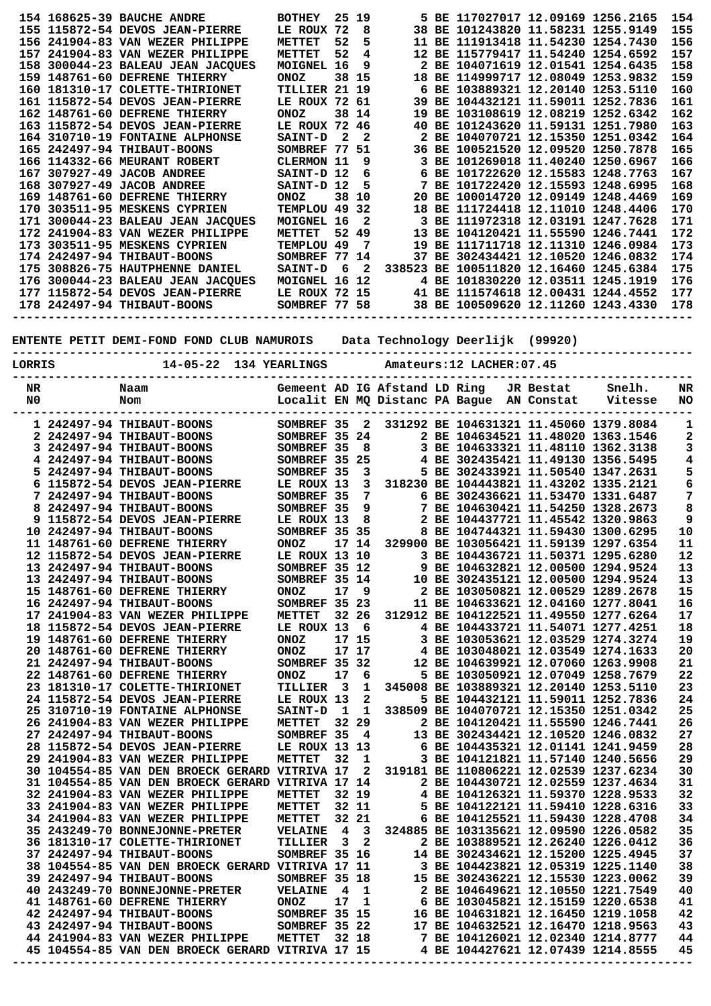|                                                                                                                                                                          |  | 154 168625-39 BAUCHE ANDRE<br>155 115872-54 DEVOS JEAN-PIERRE<br>156 241904-83 VAN WEZER PHILIPPE<br>157 241904-83 VAN WEZER PHILIPPE<br>158 300044-23 BALEAU JEAN JACQUES<br>159 148761-60 DEFRENE THIERRY<br>160 181310-17 COLETTE-THIRIONET<br>161 115872-54 DEVOS JEAN-PIERRE<br>162 148761-60 DEFRENE THIERRY<br>163 115872-54 DEVOS JEAN-PIERRE<br>164 310710-19 FONTAINE ALPHONSE<br>165 242497-94 THIBAUT-BOONS<br>166 114332-66 MEURANT ROBERT<br>167 307927-49 JACOB ANDREE<br>168 307927-49 JACOB ANDREE<br>169 148761-60 DEFRENE THIERRY<br>170 303511-95 MESKENS CYPRIEN<br>171 300044-23 BALEAU JEAN JACQUES<br>172 241904-83 VAN WEZER PHILIPPE<br>173 303511-95 MESKENS CYPRIEN<br>174 242497-94 THIBAUT-BOONS<br>175 308826-75 HAUTPHENNE DANIEL<br>176 300044-23 BALEAU JEAN JACQUES<br>177 115872-54 DEVOS JEAN-PIERRE<br>178 242497-94 THIBAUT-BOONS | <b>BOTHEY</b><br>LE ROUX 72<br>METTET<br>METTET<br>MOIGNEL 16<br><b>ONOZ</b><br>TILLIER 21 19<br>LE ROUX 72 61<br><b>ONOZ</b><br>LE ROUX 72 46<br><b>SAINT-D</b><br>SOMBREF 77 51<br>CLERMON 11<br>SAINT-D 12<br>SAINT-D 12<br><b>ONOZ</b><br>TEMPLOU 49 32<br>MOIGNEL 16<br>METTET<br>TEMPLOU 49<br>SOMBREF 77 14<br><b>SAINT-D</b> | 25 19<br>52<br>52<br>2<br>$6^{\circ}$ | 8<br>5<br>4<br>9<br>38 15<br>38 14<br>2<br>9<br>6<br>5<br>38 10<br>2<br>52 49<br>7<br>$\overline{\mathbf{2}}$ |                               |  | 5 BE 117027017 12.09169 1256.2165<br>38 BE 101243820 11.58231 1255.9149<br>11 BE 111913418 11.54230 1254.7430<br>12 BE 115779417 11.54240 1254.6592<br>2 BE 104071619 12.01541 1254.6435<br>18 BE 114999717 12.08049 1253.9832<br>6 BE 103889321 12.20140 1253.5110<br>39 BE 104432121 11.59011 1252.7836<br>19 BE 103108619 12.08219 1252.6342<br>40 BE 101243620 11.59131 1251.7980<br>2 BE 104070721 12.15350 1251.0342<br>36 BE 100521520 12.09520 1250.7878<br>3 BE 101269018 11.40240 1250.6967<br>6 BE 101722620 12.15583 1248.7763<br>7 BE 101722420 12.15593 1248.6995<br>20 BE 100014720 12.09149 1248.4469<br>18 BE 111724418 12.11010 1248.4406<br>3 BE 111972318 12.03191 1247.7628<br>13 BE 104120421 11.55590 1246.7441<br>19 BE 111711718 12.11310 1246.0984<br>37 BE 302434421 12.10520 1246.0832<br>338523 BE 100511820 12.16460 1245.6384 |           | MOIGNEL 16 12 4 BE 101830220 12.03511 1245.1919<br>LE ROUX 72 15 41 BE 111574618 12.00431 1244.4552<br>SOMBREF 77 58 38 BE 100509620 12.11260 1243.4330 | 154<br>155<br>156<br>157<br>158<br>159<br>160<br>161<br>162<br>163<br>164<br>165<br>166<br>167<br>168<br>169<br>170<br>171<br>172<br>173<br>174<br>175<br>176<br>177<br>178 |
|--------------------------------------------------------------------------------------------------------------------------------------------------------------------------|--|--------------------------------------------------------------------------------------------------------------------------------------------------------------------------------------------------------------------------------------------------------------------------------------------------------------------------------------------------------------------------------------------------------------------------------------------------------------------------------------------------------------------------------------------------------------------------------------------------------------------------------------------------------------------------------------------------------------------------------------------------------------------------------------------------------------------------------------------------------------------------|--------------------------------------------------------------------------------------------------------------------------------------------------------------------------------------------------------------------------------------------------------------------------------------------------------------------------------------|---------------------------------------|---------------------------------------------------------------------------------------------------------------|-------------------------------|--|--------------------------------------------------------------------------------------------------------------------------------------------------------------------------------------------------------------------------------------------------------------------------------------------------------------------------------------------------------------------------------------------------------------------------------------------------------------------------------------------------------------------------------------------------------------------------------------------------------------------------------------------------------------------------------------------------------------------------------------------------------------------------------------------------------------------------------------------------------------|-----------|---------------------------------------------------------------------------------------------------------------------------------------------------------|-----------------------------------------------------------------------------------------------------------------------------------------------------------------------------|
| ENTENTE PETIT DEMI-FOND FOND CLUB NAMUROIS Data Technology Deerlijk (99920)<br>-----------------------<br>14-05-22 134 YEARLINGS<br>Amateurs: 12 LACHER: 07.45<br>LORRIS |  |                                                                                                                                                                                                                                                                                                                                                                                                                                                                                                                                                                                                                                                                                                                                                                                                                                                                          |                                                                                                                                                                                                                                                                                                                                      |                                       |                                                                                                               |                               |  |                                                                                                                                                                                                                                                                                                                                                                                                                                                                                                                                                                                                                                                                                                                                                                                                                                                              |           |                                                                                                                                                         |                                                                                                                                                                             |
| NR<br>N0                                                                                                                                                                 |  | Naam<br>Nom                                                                                                                                                                                                                                                                                                                                                                                                                                                                                                                                                                                                                                                                                                                                                                                                                                                              |                                                                                                                                                                                                                                                                                                                                      |                                       |                                                                                                               | Gemeent AD IG Afstand LD Ring |  | Localit EN MQ Distanc PA Bague AN Constat                                                                                                                                                                                                                                                                                                                                                                                                                                                                                                                                                                                                                                                                                                                                                                                                                    | JR Bestat | Snelh.<br>Vitesse                                                                                                                                       | NR<br>NO                                                                                                                                                                    |
|                                                                                                                                                                          |  |                                                                                                                                                                                                                                                                                                                                                                                                                                                                                                                                                                                                                                                                                                                                                                                                                                                                          |                                                                                                                                                                                                                                                                                                                                      |                                       |                                                                                                               |                               |  |                                                                                                                                                                                                                                                                                                                                                                                                                                                                                                                                                                                                                                                                                                                                                                                                                                                              |           |                                                                                                                                                         |                                                                                                                                                                             |
|                                                                                                                                                                          |  | 1 242497-94 THIBAUT-BOONS<br>2 242497-94 THIBAUT-BOONS                                                                                                                                                                                                                                                                                                                                                                                                                                                                                                                                                                                                                                                                                                                                                                                                                   | SOMBREF 35<br>SOMBREF 35 24                                                                                                                                                                                                                                                                                                          |                                       | 2                                                                                                             |                               |  | 331292 BE 104631321 11.45060 1379.8084<br>2 BE 104634521 11.48020 1363.1546                                                                                                                                                                                                                                                                                                                                                                                                                                                                                                                                                                                                                                                                                                                                                                                  |           |                                                                                                                                                         | 1<br>2                                                                                                                                                                      |
|                                                                                                                                                                          |  | 3 242497-94 THIBAUT-BOONS                                                                                                                                                                                                                                                                                                                                                                                                                                                                                                                                                                                                                                                                                                                                                                                                                                                | SOMBREF 35                                                                                                                                                                                                                                                                                                                           |                                       | 8                                                                                                             |                               |  | 3 BE 104633321 11.48110 1362.3138                                                                                                                                                                                                                                                                                                                                                                                                                                                                                                                                                                                                                                                                                                                                                                                                                            |           |                                                                                                                                                         | з                                                                                                                                                                           |
|                                                                                                                                                                          |  | 4 242497-94 THIBAUT-BOONS                                                                                                                                                                                                                                                                                                                                                                                                                                                                                                                                                                                                                                                                                                                                                                                                                                                | SOMBREF 35 25                                                                                                                                                                                                                                                                                                                        |                                       |                                                                                                               |                               |  | 4 BE 302435421 11.49130 1356.5495                                                                                                                                                                                                                                                                                                                                                                                                                                                                                                                                                                                                                                                                                                                                                                                                                            |           |                                                                                                                                                         | 4                                                                                                                                                                           |
|                                                                                                                                                                          |  | 5 242497-94 THIBAUT-BOONS                                                                                                                                                                                                                                                                                                                                                                                                                                                                                                                                                                                                                                                                                                                                                                                                                                                | SOMBREF 35                                                                                                                                                                                                                                                                                                                           |                                       | 3                                                                                                             |                               |  | 5 BE 302433921 11.50540 1347.2631                                                                                                                                                                                                                                                                                                                                                                                                                                                                                                                                                                                                                                                                                                                                                                                                                            |           |                                                                                                                                                         | 5                                                                                                                                                                           |
|                                                                                                                                                                          |  | 6 115872-54 DEVOS JEAN-PIERRE                                                                                                                                                                                                                                                                                                                                                                                                                                                                                                                                                                                                                                                                                                                                                                                                                                            | LE ROUX 13                                                                                                                                                                                                                                                                                                                           |                                       | 3                                                                                                             |                               |  | 318230 BE 104443821 11.43202 1335.2121                                                                                                                                                                                                                                                                                                                                                                                                                                                                                                                                                                                                                                                                                                                                                                                                                       |           |                                                                                                                                                         | 6                                                                                                                                                                           |
|                                                                                                                                                                          |  | 7 242497-94 THIBAUT-BOONS                                                                                                                                                                                                                                                                                                                                                                                                                                                                                                                                                                                                                                                                                                                                                                                                                                                | SOMBREF 35                                                                                                                                                                                                                                                                                                                           |                                       | 7                                                                                                             |                               |  | 6 BE 302436621 11.53470 1331.6487                                                                                                                                                                                                                                                                                                                                                                                                                                                                                                                                                                                                                                                                                                                                                                                                                            |           |                                                                                                                                                         | 7                                                                                                                                                                           |
| 8                                                                                                                                                                        |  | 242497-94 THIBAUT-BOONS                                                                                                                                                                                                                                                                                                                                                                                                                                                                                                                                                                                                                                                                                                                                                                                                                                                  | SOMBREF 35                                                                                                                                                                                                                                                                                                                           |                                       | 9                                                                                                             |                               |  | 7 BE 104630421 11.54250 1328.2673                                                                                                                                                                                                                                                                                                                                                                                                                                                                                                                                                                                                                                                                                                                                                                                                                            |           |                                                                                                                                                         | 8                                                                                                                                                                           |
|                                                                                                                                                                          |  | 9 115872-54 DEVOS JEAN-PIERRE                                                                                                                                                                                                                                                                                                                                                                                                                                                                                                                                                                                                                                                                                                                                                                                                                                            | LE ROUX 13                                                                                                                                                                                                                                                                                                                           |                                       | 8                                                                                                             |                               |  | 2 BE 104437721 11.45542 1320.9863                                                                                                                                                                                                                                                                                                                                                                                                                                                                                                                                                                                                                                                                                                                                                                                                                            |           |                                                                                                                                                         | 9                                                                                                                                                                           |
|                                                                                                                                                                          |  | 10 242497-94 THIBAUT-BOONS                                                                                                                                                                                                                                                                                                                                                                                                                                                                                                                                                                                                                                                                                                                                                                                                                                               | SOMBREF 35 35                                                                                                                                                                                                                                                                                                                        |                                       |                                                                                                               |                               |  | 8 BE 104744321 11.59430 1300.6295                                                                                                                                                                                                                                                                                                                                                                                                                                                                                                                                                                                                                                                                                                                                                                                                                            |           |                                                                                                                                                         | 10                                                                                                                                                                          |
|                                                                                                                                                                          |  | 11 148761-60 DEFRENE THIERRY                                                                                                                                                                                                                                                                                                                                                                                                                                                                                                                                                                                                                                                                                                                                                                                                                                             | ONOZ                                                                                                                                                                                                                                                                                                                                 |                                       |                                                                                                               |                               |  | 17 14 329900 BE 103056421 11.59139 1297.6354                                                                                                                                                                                                                                                                                                                                                                                                                                                                                                                                                                                                                                                                                                                                                                                                                 |           |                                                                                                                                                         | ${\bf 11}$                                                                                                                                                                  |
|                                                                                                                                                                          |  | 12 115872-54 DEVOS JEAN-PIERRE                                                                                                                                                                                                                                                                                                                                                                                                                                                                                                                                                                                                                                                                                                                                                                                                                                           | LE ROUX 13 10                                                                                                                                                                                                                                                                                                                        |                                       |                                                                                                               |                               |  | 3 BE 104436721 11.50371 1295.6280                                                                                                                                                                                                                                                                                                                                                                                                                                                                                                                                                                                                                                                                                                                                                                                                                            |           |                                                                                                                                                         | 12                                                                                                                                                                          |
|                                                                                                                                                                          |  | 13 242497-94 THIBAUT-BOONS                                                                                                                                                                                                                                                                                                                                                                                                                                                                                                                                                                                                                                                                                                                                                                                                                                               | SOMBREF 35 12                                                                                                                                                                                                                                                                                                                        |                                       |                                                                                                               |                               |  | 9 BE 104632821 12.00500 1294.9524                                                                                                                                                                                                                                                                                                                                                                                                                                                                                                                                                                                                                                                                                                                                                                                                                            |           |                                                                                                                                                         | 13                                                                                                                                                                          |
|                                                                                                                                                                          |  | 13 242497-94 THIBAUT-BOONS                                                                                                                                                                                                                                                                                                                                                                                                                                                                                                                                                                                                                                                                                                                                                                                                                                               | SOMBREF 35 14                                                                                                                                                                                                                                                                                                                        |                                       |                                                                                                               |                               |  | 10 BE 302435121 12.00500 1294.9524                                                                                                                                                                                                                                                                                                                                                                                                                                                                                                                                                                                                                                                                                                                                                                                                                           |           |                                                                                                                                                         | 13                                                                                                                                                                          |
|                                                                                                                                                                          |  | 15 148761-60 DEFRENE THIERRY<br>16 242497-94 THIBAUT-BOONS                                                                                                                                                                                                                                                                                                                                                                                                                                                                                                                                                                                                                                                                                                                                                                                                               | <b>ONOZ</b><br>SOMBREF 35 23                                                                                                                                                                                                                                                                                                         | 17                                    | 9                                                                                                             |                               |  | 2 BE 103050821 12.00529 1289.2678<br>11 BE 104633621 12.04160 1277.8041                                                                                                                                                                                                                                                                                                                                                                                                                                                                                                                                                                                                                                                                                                                                                                                      |           |                                                                                                                                                         | 15<br>16                                                                                                                                                                    |
|                                                                                                                                                                          |  | 17 241904-83 VAN WEZER PHILIPPE                                                                                                                                                                                                                                                                                                                                                                                                                                                                                                                                                                                                                                                                                                                                                                                                                                          | <b>METTET</b>                                                                                                                                                                                                                                                                                                                        |                                       | 32 26                                                                                                         |                               |  | 312912 BE 104122521 11.49550 1277.6264                                                                                                                                                                                                                                                                                                                                                                                                                                                                                                                                                                                                                                                                                                                                                                                                                       |           |                                                                                                                                                         | 17                                                                                                                                                                          |
|                                                                                                                                                                          |  | 18 115872-54 DEVOS JEAN-PIERRE                                                                                                                                                                                                                                                                                                                                                                                                                                                                                                                                                                                                                                                                                                                                                                                                                                           | LE ROUX 13 6                                                                                                                                                                                                                                                                                                                         |                                       |                                                                                                               |                               |  | 4 BE 104433721 11.54071 1277.4251                                                                                                                                                                                                                                                                                                                                                                                                                                                                                                                                                                                                                                                                                                                                                                                                                            |           |                                                                                                                                                         | 18                                                                                                                                                                          |
|                                                                                                                                                                          |  | 19 148761-60 DEFRENE THIERRY                                                                                                                                                                                                                                                                                                                                                                                                                                                                                                                                                                                                                                                                                                                                                                                                                                             | <b>ONOZ</b>                                                                                                                                                                                                                                                                                                                          |                                       | 17 15                                                                                                         |                               |  | 3 BE 103053621 12.03529 1274.3274                                                                                                                                                                                                                                                                                                                                                                                                                                                                                                                                                                                                                                                                                                                                                                                                                            |           |                                                                                                                                                         | 19                                                                                                                                                                          |
|                                                                                                                                                                          |  | 20 148761-60 DEFRENE THIERRY                                                                                                                                                                                                                                                                                                                                                                                                                                                                                                                                                                                                                                                                                                                                                                                                                                             | <b>ONOZ</b>                                                                                                                                                                                                                                                                                                                          | 17 17                                 |                                                                                                               |                               |  | 4 BE 103048021 12.03549 1274.1633                                                                                                                                                                                                                                                                                                                                                                                                                                                                                                                                                                                                                                                                                                                                                                                                                            |           |                                                                                                                                                         | 20                                                                                                                                                                          |
|                                                                                                                                                                          |  | 21 242497-94 THIBAUT-BOONS                                                                                                                                                                                                                                                                                                                                                                                                                                                                                                                                                                                                                                                                                                                                                                                                                                               | SOMBREF 35 32                                                                                                                                                                                                                                                                                                                        |                                       |                                                                                                               |                               |  | 12 BE 104639921 12.07060 1263.9908                                                                                                                                                                                                                                                                                                                                                                                                                                                                                                                                                                                                                                                                                                                                                                                                                           |           |                                                                                                                                                         | 21                                                                                                                                                                          |
|                                                                                                                                                                          |  | 22 148761-60 DEFRENE THIERRY                                                                                                                                                                                                                                                                                                                                                                                                                                                                                                                                                                                                                                                                                                                                                                                                                                             | <b>ONOZ</b>                                                                                                                                                                                                                                                                                                                          | 17                                    | 6                                                                                                             |                               |  | 5 BE 103050921 12.07049 1258.7679                                                                                                                                                                                                                                                                                                                                                                                                                                                                                                                                                                                                                                                                                                                                                                                                                            |           |                                                                                                                                                         | 22                                                                                                                                                                          |
|                                                                                                                                                                          |  | 23 181310-17 COLETTE-THIRIONET                                                                                                                                                                                                                                                                                                                                                                                                                                                                                                                                                                                                                                                                                                                                                                                                                                           | TILLIER <sub>3</sub>                                                                                                                                                                                                                                                                                                                 |                                       | 1                                                                                                             |                               |  | 345008 BE 103889321 12.20140 1253.5110                                                                                                                                                                                                                                                                                                                                                                                                                                                                                                                                                                                                                                                                                                                                                                                                                       |           |                                                                                                                                                         | 23                                                                                                                                                                          |
|                                                                                                                                                                          |  | 24 115872-54 DEVOS JEAN-PIERRE                                                                                                                                                                                                                                                                                                                                                                                                                                                                                                                                                                                                                                                                                                                                                                                                                                           | LE ROUX 13                                                                                                                                                                                                                                                                                                                           |                                       | $\mathbf{2}$                                                                                                  |                               |  | 5 BE 104432121 11.59011 1252.7836                                                                                                                                                                                                                                                                                                                                                                                                                                                                                                                                                                                                                                                                                                                                                                                                                            |           |                                                                                                                                                         | 24                                                                                                                                                                          |
|                                                                                                                                                                          |  | 25 310710-19 FONTAINE ALPHONSE                                                                                                                                                                                                                                                                                                                                                                                                                                                                                                                                                                                                                                                                                                                                                                                                                                           | <b>SAINT-D</b>                                                                                                                                                                                                                                                                                                                       | 1                                     | 1                                                                                                             |                               |  | 338509 BE 104070721 12.15350 1251.0342                                                                                                                                                                                                                                                                                                                                                                                                                                                                                                                                                                                                                                                                                                                                                                                                                       |           |                                                                                                                                                         | 25                                                                                                                                                                          |
|                                                                                                                                                                          |  | 26 241904-83 VAN WEZER PHILIPPE                                                                                                                                                                                                                                                                                                                                                                                                                                                                                                                                                                                                                                                                                                                                                                                                                                          | <b>METTET</b>                                                                                                                                                                                                                                                                                                                        |                                       | 32 29                                                                                                         |                               |  | 2 BE 104120421 11.55590 1246.7441                                                                                                                                                                                                                                                                                                                                                                                                                                                                                                                                                                                                                                                                                                                                                                                                                            |           |                                                                                                                                                         | 26                                                                                                                                                                          |
|                                                                                                                                                                          |  | 27 242497-94 THIBAUT-BOONS<br>28 115872-54 DEVOS JEAN-PIERRE                                                                                                                                                                                                                                                                                                                                                                                                                                                                                                                                                                                                                                                                                                                                                                                                             | SOMBREF 35<br>LE ROUX 13 13                                                                                                                                                                                                                                                                                                          |                                       | $\frac{4}{3}$                                                                                                 |                               |  | 13 BE 302434421 12.10520 1246.0832<br>6 BE 104435321 12.01141 1241.9459                                                                                                                                                                                                                                                                                                                                                                                                                                                                                                                                                                                                                                                                                                                                                                                      |           |                                                                                                                                                         | 27<br>28                                                                                                                                                                    |
|                                                                                                                                                                          |  | 29 241904-83 VAN WEZER PHILIPPE                                                                                                                                                                                                                                                                                                                                                                                                                                                                                                                                                                                                                                                                                                                                                                                                                                          | METTET                                                                                                                                                                                                                                                                                                                               | 32                                    | 1                                                                                                             |                               |  | 3 BE 104121821 11.57140 1240.5656                                                                                                                                                                                                                                                                                                                                                                                                                                                                                                                                                                                                                                                                                                                                                                                                                            |           |                                                                                                                                                         | 29                                                                                                                                                                          |
|                                                                                                                                                                          |  | 30 104554-85 VAN DEN BROECK GERARD VITRIVA 17                                                                                                                                                                                                                                                                                                                                                                                                                                                                                                                                                                                                                                                                                                                                                                                                                            |                                                                                                                                                                                                                                                                                                                                      |                                       | 2                                                                                                             |                               |  | 319181 BE 110806221 12.02539 1237.6234                                                                                                                                                                                                                                                                                                                                                                                                                                                                                                                                                                                                                                                                                                                                                                                                                       |           |                                                                                                                                                         | 30                                                                                                                                                                          |
|                                                                                                                                                                          |  | 31 104554-85 VAN DEN BROECK GERARD VITRIVA 17 14                                                                                                                                                                                                                                                                                                                                                                                                                                                                                                                                                                                                                                                                                                                                                                                                                         |                                                                                                                                                                                                                                                                                                                                      |                                       |                                                                                                               |                               |  | 2 BE 104430721 12.02559 1237.4634                                                                                                                                                                                                                                                                                                                                                                                                                                                                                                                                                                                                                                                                                                                                                                                                                            |           |                                                                                                                                                         | 31                                                                                                                                                                          |
|                                                                                                                                                                          |  | 32 241904-83 VAN WEZER PHILIPPE                                                                                                                                                                                                                                                                                                                                                                                                                                                                                                                                                                                                                                                                                                                                                                                                                                          | <b>METTET</b>                                                                                                                                                                                                                                                                                                                        |                                       | 32 19                                                                                                         |                               |  | 4 BE 104126321 11.59370 1228.9533                                                                                                                                                                                                                                                                                                                                                                                                                                                                                                                                                                                                                                                                                                                                                                                                                            |           |                                                                                                                                                         | 32                                                                                                                                                                          |
|                                                                                                                                                                          |  | 33 241904-83 VAN WEZER PHILIPPE                                                                                                                                                                                                                                                                                                                                                                                                                                                                                                                                                                                                                                                                                                                                                                                                                                          | METTET                                                                                                                                                                                                                                                                                                                               |                                       | 32 11                                                                                                         |                               |  | 5 BE 104122121 11.59410 1228.6316                                                                                                                                                                                                                                                                                                                                                                                                                                                                                                                                                                                                                                                                                                                                                                                                                            |           |                                                                                                                                                         | 33                                                                                                                                                                          |
|                                                                                                                                                                          |  | 34 241904-83 VAN WEZER PHILIPPE                                                                                                                                                                                                                                                                                                                                                                                                                                                                                                                                                                                                                                                                                                                                                                                                                                          | <b>METTET</b>                                                                                                                                                                                                                                                                                                                        |                                       | 32 21                                                                                                         |                               |  | 6 BE 104125521 11.59430 1228.4708                                                                                                                                                                                                                                                                                                                                                                                                                                                                                                                                                                                                                                                                                                                                                                                                                            |           |                                                                                                                                                         | 34                                                                                                                                                                          |
|                                                                                                                                                                          |  | 35 243249-70 BONNEJONNE-PRETER                                                                                                                                                                                                                                                                                                                                                                                                                                                                                                                                                                                                                                                                                                                                                                                                                                           | <b>VELAINE</b>                                                                                                                                                                                                                                                                                                                       | $\overline{4}$                        | 3                                                                                                             |                               |  | 324885 BE 103135621 12.09590 1226.0582                                                                                                                                                                                                                                                                                                                                                                                                                                                                                                                                                                                                                                                                                                                                                                                                                       |           |                                                                                                                                                         | 35                                                                                                                                                                          |
|                                                                                                                                                                          |  | 36 181310-17 COLETTE-THIRIONET                                                                                                                                                                                                                                                                                                                                                                                                                                                                                                                                                                                                                                                                                                                                                                                                                                           | TILLIER                                                                                                                                                                                                                                                                                                                              | $\overline{\mathbf{3}}$               | $\mathbf{2}$                                                                                                  |                               |  | 2 BE 103889521 12.26240 1226.0412                                                                                                                                                                                                                                                                                                                                                                                                                                                                                                                                                                                                                                                                                                                                                                                                                            |           |                                                                                                                                                         | 36                                                                                                                                                                          |
|                                                                                                                                                                          |  | 37 242497-94 THIBAUT-BOONS                                                                                                                                                                                                                                                                                                                                                                                                                                                                                                                                                                                                                                                                                                                                                                                                                                               | SOMBREF 35 16                                                                                                                                                                                                                                                                                                                        |                                       |                                                                                                               |                               |  | 14 BE 302434621 12.15200 1225.4945                                                                                                                                                                                                                                                                                                                                                                                                                                                                                                                                                                                                                                                                                                                                                                                                                           |           |                                                                                                                                                         | 37                                                                                                                                                                          |
|                                                                                                                                                                          |  | 38 104554-85 VAN DEN BROECK GERARD VITRIVA 17 11                                                                                                                                                                                                                                                                                                                                                                                                                                                                                                                                                                                                                                                                                                                                                                                                                         |                                                                                                                                                                                                                                                                                                                                      |                                       |                                                                                                               |                               |  | 3 BE 104423821 12.05319 1225.1140                                                                                                                                                                                                                                                                                                                                                                                                                                                                                                                                                                                                                                                                                                                                                                                                                            |           |                                                                                                                                                         | 38<br>39                                                                                                                                                                    |
|                                                                                                                                                                          |  | 39 242497-94 THIBAUT-BOONS<br>40 243249-70 BONNEJONNE-PRETER                                                                                                                                                                                                                                                                                                                                                                                                                                                                                                                                                                                                                                                                                                                                                                                                             | SOMBREF 35 18<br><b>VELAINE</b>                                                                                                                                                                                                                                                                                                      | 4                                     | 1                                                                                                             |                               |  | 15 BE 302436221 12.15530 1223.0062<br>2 BE 104649621 12.10550 1221.7549                                                                                                                                                                                                                                                                                                                                                                                                                                                                                                                                                                                                                                                                                                                                                                                      |           |                                                                                                                                                         | 40                                                                                                                                                                          |
|                                                                                                                                                                          |  | 41 148761-60 DEFRENE THIERRY                                                                                                                                                                                                                                                                                                                                                                                                                                                                                                                                                                                                                                                                                                                                                                                                                                             | ONOZ                                                                                                                                                                                                                                                                                                                                 | 17                                    | 1                                                                                                             |                               |  | 6 BE 103045821 12.15159 1220.6538                                                                                                                                                                                                                                                                                                                                                                                                                                                                                                                                                                                                                                                                                                                                                                                                                            |           |                                                                                                                                                         | 41                                                                                                                                                                          |
|                                                                                                                                                                          |  | 42 242497-94 THIBAUT-BOONS                                                                                                                                                                                                                                                                                                                                                                                                                                                                                                                                                                                                                                                                                                                                                                                                                                               | SOMBREF 35 15                                                                                                                                                                                                                                                                                                                        |                                       |                                                                                                               |                               |  | 16 BE 104631821 12.16450 1219.1058                                                                                                                                                                                                                                                                                                                                                                                                                                                                                                                                                                                                                                                                                                                                                                                                                           |           |                                                                                                                                                         | 42                                                                                                                                                                          |
|                                                                                                                                                                          |  | 43 242497-94 THIBAUT-BOONS                                                                                                                                                                                                                                                                                                                                                                                                                                                                                                                                                                                                                                                                                                                                                                                                                                               | SOMBREF 35 22                                                                                                                                                                                                                                                                                                                        |                                       |                                                                                                               |                               |  | 17 BE 104632521 12.16470 1218.9563                                                                                                                                                                                                                                                                                                                                                                                                                                                                                                                                                                                                                                                                                                                                                                                                                           |           |                                                                                                                                                         | 43                                                                                                                                                                          |
|                                                                                                                                                                          |  | 44 241904-83 VAN WEZER PHILIPPE                                                                                                                                                                                                                                                                                                                                                                                                                                                                                                                                                                                                                                                                                                                                                                                                                                          | <b>METTET</b> 32 18                                                                                                                                                                                                                                                                                                                  |                                       |                                                                                                               |                               |  | 7 BE 104126021 12.02340 1214.8777                                                                                                                                                                                                                                                                                                                                                                                                                                                                                                                                                                                                                                                                                                                                                                                                                            |           |                                                                                                                                                         | 44                                                                                                                                                                          |
|                                                                                                                                                                          |  | <b>45 104554-85 VAN DEN BROECK GERARD VITRIVA 17 15</b>                                                                                                                                                                                                                                                                                                                                                                                                                                                                                                                                                                                                                                                                                                                                                                                                                  |                                                                                                                                                                                                                                                                                                                                      |                                       |                                                                                                               |                               |  | 4 BE 104427621 12.07439 1214.8555                                                                                                                                                                                                                                                                                                                                                                                                                                                                                                                                                                                                                                                                                                                                                                                                                            |           |                                                                                                                                                         | 45                                                                                                                                                                          |
|                                                                                                                                                                          |  |                                                                                                                                                                                                                                                                                                                                                                                                                                                                                                                                                                                                                                                                                                                                                                                                                                                                          |                                                                                                                                                                                                                                                                                                                                      |                                       |                                                                                                               |                               |  |                                                                                                                                                                                                                                                                                                                                                                                                                                                                                                                                                                                                                                                                                                                                                                                                                                                              |           |                                                                                                                                                         |                                                                                                                                                                             |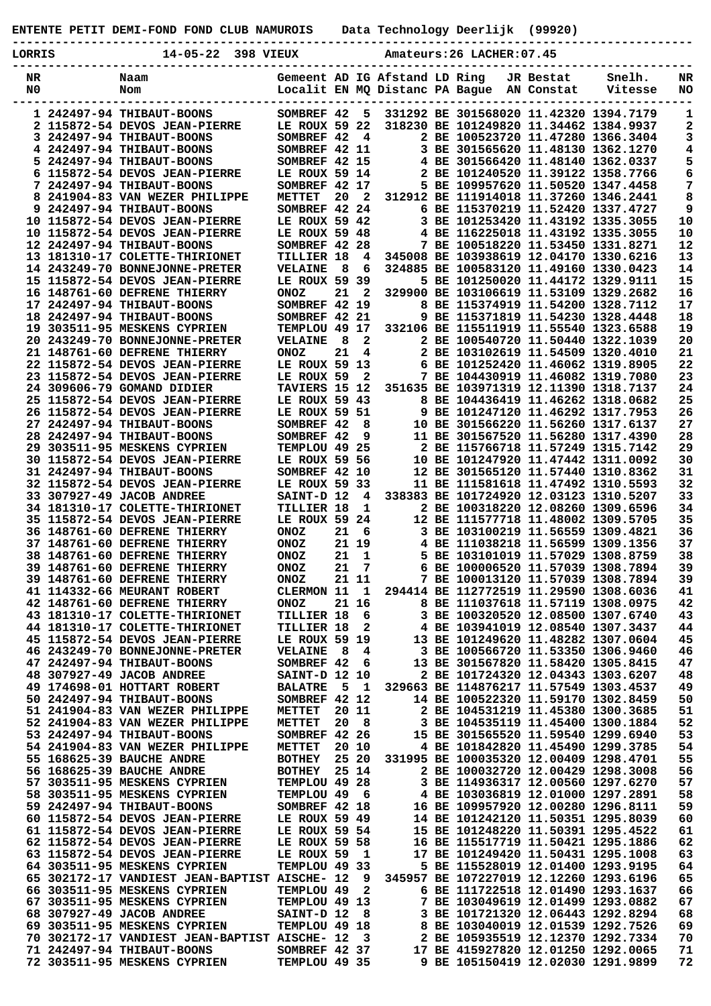**ENTENTE PETIT DEMI-FOND FOND CLUB NAMUROIS Data Technology Deerlijk (99920)**

|   | J |  |  |
|---|---|--|--|
| ı |   |  |  |

**LORRIS 14-05-22 398 VIEUX Amateurs:26 LACHER:07.45**

**-----------------------------------------------------------------------------------------------**

| NR | Naam                                                         | Gemeent AD IG Afstand LD Ring   |                 |              |  | JR Bestat  | <b>Snelh.</b>                                                               | NR       |
|----|--------------------------------------------------------------|---------------------------------|-----------------|--------------|--|------------|-----------------------------------------------------------------------------|----------|
| N0 | Nom                                                          | Localit EN MQ Distanc PA Bague  |                 |              |  | AN Constat | Vitesse                                                                     | NO       |
|    |                                                              | SOMBREF 42                      |                 |              |  |            | 331292 BE 301568020 11.42320 1394.7179                                      |          |
|    | 1 242497-94 THIBAUT-BOONS<br>2 115872-54 DEVOS JEAN-PIERRE   | LE ROUX 59 22                   |                 | 5            |  |            | 318230 BE 101249820 11.34462 1384.9937                                      | 1        |
|    | 3 242497-94 THIBAUT-BOONS                                    | SOMBREF 42                      |                 | 4            |  |            | 2 BE 100523720 11.47280 1366.3404                                           | 2<br>3   |
|    | 4 242497-94 THIBAUT-BOONS                                    | SOMBREF 42 11                   |                 |              |  |            | 3 BE 301565620 11.48130 1362.1270                                           | 4        |
| 5. | 242497-94 THIBAUT-BOONS                                      | SOMBREF 42 15                   |                 |              |  |            | 4 BE 301566420 11.48140 1362.0337                                           | 5        |
| 6  | 115872-54 DEVOS JEAN-PIERRE                                  | LE ROUX 59 14                   |                 |              |  |            | 2 BE 101240520 11.39122 1358.7766                                           | 6        |
|    | 7 242497-94 THIBAUT-BOONS                                    | SOMBREF 42 17                   |                 |              |  |            | 5 BE 109957620 11.50520 1347.4458                                           | 7        |
| 8  | 241904-83 VAN WEZER PHILIPPE                                 | <b>METTET</b>                   | 20              | $\mathbf{2}$ |  |            | 312912 BE 111914018 11.37260 1346.2441                                      | 8        |
|    | 9 242497-94 THIBAUT-BOONS                                    | SOMBREF 42 24                   |                 |              |  |            | 6 BE 115370219 11.52420 1337.4727                                           | 9        |
|    | 10 115872-54 DEVOS JEAN-PIERRE                               | LE ROUX 59 42                   |                 |              |  |            | 3 BE 101253420 11.43192 1335.3055                                           | 10       |
|    | 10 115872-54 DEVOS JEAN-PIERRE                               | LE ROUX 59 48                   |                 |              |  |            | 4 BE 116225018 11.43192 1335.3055                                           | 10       |
|    | 12 242497-94 THIBAUT-BOONS                                   | SOMBREF 42 28                   |                 |              |  |            | 7 BE 100518220 11.53450 1331.8271                                           | 12       |
|    | 13 181310-17 COLETTE-THIRIONET                               | TILLIER 18                      |                 | 4            |  |            | 345008 BE 103938619 12.04170 1330.6216                                      | 13       |
|    | 14 243249-70 BONNEJONNE-PRETER                               | <b>VELAINE</b>                  | 8               | 6            |  |            | 324885 BE 100583120 11.49160 1330.0423                                      | 14       |
|    | 15 115872-54 DEVOS JEAN-PIERRE                               | LE ROUX 59 39                   |                 |              |  |            | 5 BE 101250020 11.44172 1329.9111                                           | 15       |
|    | 16 148761-60 DEFRENE THIERRY                                 | <b>ONOZ</b>                     | 21              | $\mathbf{2}$ |  |            | 329900 BE 103106619 11.53109 1329.2682                                      | 16       |
|    | 17 242497-94 THIBAUT-BOONS                                   | SOMBREF 42 19                   |                 |              |  |            | 8 BE 115374919 11.54200 1328.7112                                           | 17       |
|    | 18 242497-94 THIBAUT-BOONS                                   | SOMBREF 42 21                   |                 |              |  |            | 9 BE 115371819 11.54230 1328.4448                                           | 18       |
|    | 19 303511-95 MESKENS CYPRIEN                                 | TEMPLOU 49 17                   |                 |              |  |            | 332106 BE 115511919 11.55540 1323.6588                                      | 19       |
|    | 20 243249-70 BONNEJONNE-PRETER                               | <b>VELAINE</b>                  | 8               | 2            |  |            | 2 BE 100540720 11.50440 1322.1039                                           | 20       |
|    | 21 148761-60 DEFRENE THIERRY                                 | <b>ONOZ</b>                     | 21              | 4            |  |            | 2 BE 103102619 11.54509 1320.4010                                           | 21       |
|    | 22 115872-54 DEVOS JEAN-PIERRE                               | LE ROUX 59 13<br>LE ROUX 59     |                 |              |  |            | 6 BE 101252420 11.46062 1319.8905<br>7 BE 104430919 11.46082 1319.7080      | 22       |
|    | 23 115872-54 DEVOS JEAN-PIERRE                               |                                 |                 | 2            |  |            |                                                                             | 23<br>24 |
|    | 24 309606-79 GOMAND DIDIER<br>25 115872-54 DEVOS JEAN-PIERRE | TAVIERS 15 12<br>LE ROUX 59 43  |                 |              |  |            | 351635 BE 103971319 12.11390 1318.7137<br>8 BE 104436419 11.46262 1318.0682 | 25       |
|    | 26 115872-54 DEVOS JEAN-PIERRE                               | LE ROUX 59 51                   |                 |              |  |            | 9 BE 101247120 11.46292 1317.7953                                           | 26       |
|    | 27 242497-94 THIBAUT-BOONS                                   | SOMBREF 42                      |                 | 8            |  |            | 10 BE 301566220 11.56260 1317.6137                                          | 27       |
|    | 28 242497-94 THIBAUT-BOONS                                   | SOMBREF 42                      |                 | 9            |  |            | 11 BE 301567520 11.56280 1317.4390                                          | 28       |
|    | 29 303511-95 MESKENS CYPRIEN                                 | TEMPLOU 49 25                   |                 |              |  |            | 2 BE 115766718 11.57249 1315.7142                                           | 29       |
|    | 30 115872-54 DEVOS JEAN-PIERRE                               | LE ROUX 59 56                   |                 |              |  |            | 10 BE 101247920 11.47442 1311.0092                                          | 30       |
|    | 31 242497-94 THIBAUT-BOONS                                   | SOMBREF 42 10                   |                 |              |  |            | 12 BE 301565120 11.57440 1310.8362                                          | 31       |
|    | 32 115872-54 DEVOS JEAN-PIERRE                               | LE ROUX 59 33                   |                 |              |  |            | 11 BE 111581618 11.47492 1310.5593                                          | 32       |
|    | 33 307927-49 JACOB ANDREE                                    | SAINT-D 12                      |                 | 4            |  |            | 338383 BE 101724920 12.03123 1310.5207                                      | 33       |
|    | 34 181310-17 COLETTE-THIRIONET                               | TILLIER 18                      |                 | 1            |  |            | 2 BE 100318220 12.08260 1309.6596                                           | 34       |
|    | 35 115872-54 DEVOS JEAN-PIERRE                               | LE ROUX 59 24                   |                 |              |  |            | 12 BE 111577718 11.48002 1309.5705                                          | 35       |
|    | 36 148761-60 DEFRENE THIERRY                                 | <b>ONOZ</b>                     | 21              | 6            |  |            | 3 BE 103100219 11.56559 1309.4821                                           | 36       |
|    | 37 148761-60 DEFRENE THIERRY                                 | ONOZ                            |                 | 21 19        |  |            | 4 BE 111038218 11.56599 1309.1356                                           | 37       |
|    | 38 148761-60 DEFRENE THIERRY                                 | ONOZ                            | 21              | 1            |  |            | 5 BE 103101019 11.57029 1308.8759                                           | 38       |
|    | 39 148761-60 DEFRENE THIERRY                                 | <b>ONOZ</b>                     | 21              | 7            |  |            | 6 BE 100006520 11.57039 1308.7894                                           | 39       |
|    | 39 148761-60 DEFRENE THIERRY                                 | <b>ONOZ</b>                     | 21 11           |              |  |            | 7 BE 100013120 11.57039 1308.7894                                           | 39       |
|    | 41 114332-66 MEURANT ROBERT                                  | <b>CLERMON 11</b>               |                 | 1            |  |            | 294414 BE 112772519 11.29590 1308.6036                                      | 41       |
|    | 42 148761-60 DEFRENE THIERRY                                 | <b>ONOZ</b>                     |                 | 21 16        |  |            | 8 BE 111037618 11.57119 1308.0975                                           | 42       |
|    | 43 181310-17 COLETTE-THIRIONET                               | <b>TILLIER 18</b>               |                 | 6            |  |            | 3 BE 100320520 12.08500 1307.6740                                           | 43       |
|    | 44 181310-17 COLETTE-THIRIONET                               | TILLIER 18                      |                 | 2            |  |            | 4 BE 103941019 12.08540 1307.3437                                           | 44       |
|    | 45 115872-54 DEVOS JEAN-PIERRE                               | LE ROUX 59 19                   |                 |              |  |            | 13 BE 101249620 11.48282 1307.0604                                          | 45       |
|    | 46 243249-70 BONNEJONNE-PRETER                               | <b>VELAINE</b>                  | - 8             | 4            |  |            | 3 BE 100566720 11.53350 1306.9460                                           | 46       |
|    | 47 242497-94 THIBAUT-BOONS<br>48 307927-49 JACOB ANDREE      | SOMBREF 42                      |                 | 6            |  |            | 13 BE 301567820 11.58420 1305.8415                                          | 47       |
|    | 49 174698-01 HOTTART ROBERT                                  | SAINT-D 12 10                   | - 5             | - 1          |  |            | 2 BE 101724320 12.04343 1303.6207<br>329663 BE 114876217 11.57549 1303.4537 | 48<br>49 |
|    | 50 242497-94 THIBAUT-BOONS                                   | <b>BALATRE</b><br>SOMBREF 42 12 |                 |              |  |            | 14 BE 100522320 11.59170 1302.8459                                          | 50       |
|    | 51 241904-83 VAN WEZER PHILIPPE                              | METTET                          | 20 11           |              |  |            | 2 BE 104531219 11.45380 1300.3685                                           | 51       |
|    | 52 241904-83 VAN WEZER PHILIPPE                              | METTET                          | 20 <sub>8</sub> |              |  |            | 3 BE 104535119 11.45400 1300.1884                                           | 52       |
|    | 53 242497-94 THIBAUT-BOONS                                   | SOMBREF 42 26                   |                 |              |  |            | 15 BE 301565520 11.59540 1299.6940                                          | 53       |
|    | 54 241904-83 VAN WEZER PHILIPPE                              | METTET                          |                 | 20 10        |  |            | 4 BE 101842820 11.45490 1299.3785                                           | 54       |
|    | 55 168625-39 BAUCHE ANDRE                                    | <b>BOTHEY</b>                   |                 | 25 20        |  |            | 331995 BE 100035320 12.00409 1298.4701                                      | 55       |
|    | 56 168625-39 BAUCHE ANDRE                                    | <b>BOTHEY</b>                   |                 | 25 14        |  |            | 2 BE 100032720 12.00429 1298.3008                                           | 56       |
|    | 57 303511-95 MESKENS CYPRIEN                                 | TEMPLOU 49 28                   |                 |              |  |            | 3 BE 114936317 12.00560 1297.6270                                           | 57       |
|    | 58 303511-95 MESKENS CYPRIEN                                 | TEMPLOU 49 6                    |                 |              |  |            | 4 BE 103036819 12.01000 1297.2891                                           | 58       |
|    | 59 242497-94 THIBAUT-BOONS                                   | SOMBREF 42 18                   |                 |              |  |            | 16 BE 109957920 12.00280 1296.8111                                          | 59       |
|    | 60 115872-54 DEVOS JEAN-PIERRE                               | LE ROUX 59 49                   |                 |              |  |            | 14 BE 101242120 11.50351 1295.8039                                          | 60       |
|    | 61 115872-54 DEVOS JEAN-PIERRE                               | LE ROUX 59 54                   |                 |              |  |            | 15 BE 101248220 11.50391 1295.4522                                          | 61       |
|    | 62 115872-54 DEVOS JEAN-PIERRE                               | LE ROUX 59 58                   |                 |              |  |            | 16 BE 115517719 11.50421 1295.1886                                          | 62       |
|    | 63 115872-54 DEVOS JEAN-PIERRE                               | LE ROUX 59                      |                 | -1           |  |            | 17 BE 101249420 11.50431 1295.1008                                          | 63       |
|    | 64 303511-95 MESKENS CYPRIEN                                 | TEMPLOU 49 33                   |                 |              |  |            | 5 BE 115528019 12.01400 1293.9195                                           | 64       |
|    | 65 302172-17 VANDIEST JEAN-BAPTIST AISCHE- 12                |                                 |                 | 9            |  |            | 345957 BE 107227019 12.12260 1293.6196                                      | 65       |
|    | 66 303511-95 MESKENS CYPRIEN                                 | TEMPLOU 49                      |                 | 2            |  |            | 6 BE 111722518 12.01490 1293.1637                                           | 66       |
|    | 67 303511-95 MESKENS CYPRIEN                                 | TEMPLOU 49 13                   |                 |              |  |            | 7 BE 103049619 12.01499 1293.0882                                           | 67       |
|    | 68 307927-49 JACOB ANDREE                                    | SAINT-D 12                      |                 | 8            |  |            | 3 BE 101721320 12.06443 1292.8294                                           | 68       |
|    | 69 303511-95 MESKENS CYPRIEN                                 | TEMPLOU 49 18                   |                 |              |  |            | 8 BE 103040019 12.01539 1292.7526                                           | 69       |
|    | 70 302172-17 VANDIEST JEAN-BAPTIST AISCHE- 12                |                                 |                 | 3            |  |            | 2 BE 105935519 12.12370 1292.7334                                           | 70       |
|    | 71 242497-94 THIBAUT-BOONS                                   | SOMBREF 42 37                   |                 |              |  |            | 17 BE 415927820 12.01250 1292.0065                                          | 71       |
|    | 72 303511-95 MESKENS CYPRIEN                                 | TEMPLOU 49 35                   |                 |              |  |            | 9 BE 105150419 12.02030 1291.9899                                           | 72       |

**-----------------------------------------------------------------------------------------------**